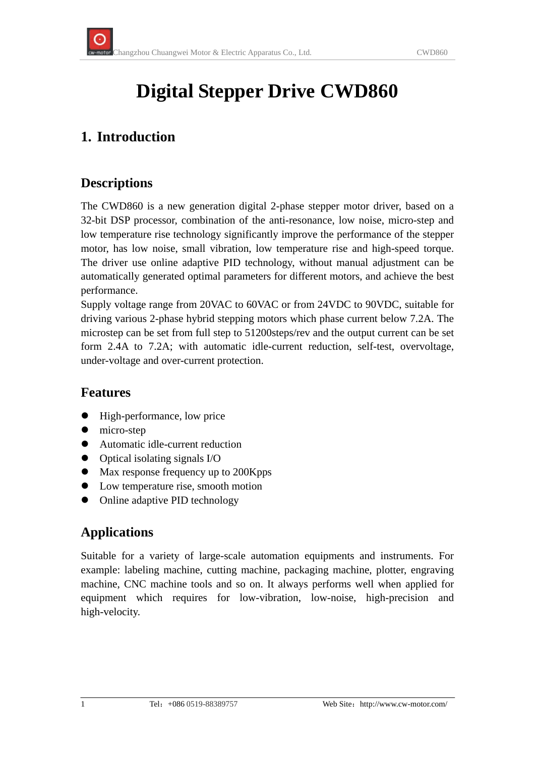# **Digital Stepper Drive CWD860**

## **1. Introduction**

#### **Descriptions**

The CWD860 is a new generation digital 2-phase stepper motor driver, based on a 32-bit DSP processor, combination of the anti-resonance, low noise, micro-step and low temperature rise technology significantly improve the performance of the stepper motor, has low noise, small vibration, low temperature rise and high-speed torque. The driver use online adaptive PID technology, without manual adjustment can be automatically generated optimal parameters for different motors, and achieve the best performance.

Supply voltage range from 20VAC to 60VAC or from 24VDC to 90VDC, suitable for driving various 2-phase hybrid stepping motors which phase current below 7.2A. The microstep can be set from full step to 51200steps/rev and the output current can be set form 2.4A to 7.2A; with automatic idle-current reduction, self-test, overvoltage, under-voltage and over-current protection.

#### **Features**

- High-performance, low price
- $\bullet$  micro-step
- Automatic idle-current reduction
- $\bullet$  Optical isolating signals I/O
- Max response frequency up to 200Kpps
- Low temperature rise, smooth motion
- Online adaptive PID technology

#### **Applications**

Suitable for a variety of large-scale automation equipments and instruments. For example: labeling machine, cutting machine, packaging machine, plotter, engraving machine, CNC machine tools and so on. It always performs well when applied for equipment which requires for low-vibration, low-noise, high-precision and high-velocity.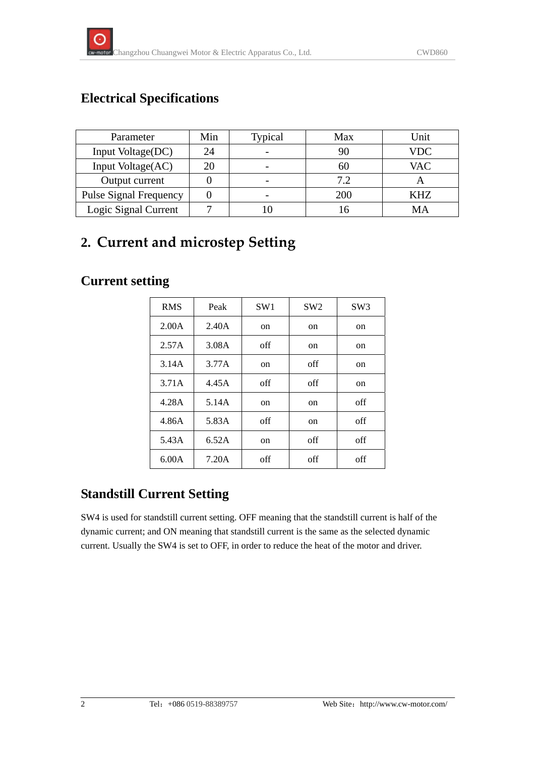## **Electrical Specifications**

| Parameter                     | Min | Typical | Max | Unit       |
|-------------------------------|-----|---------|-----|------------|
| Input Voltage(DC)             | 24  |         | 90  | VDC        |
| Input Voltage(AC)             | 20  |         | 60  | <b>VAC</b> |
| Output current                |     |         | 7.2 |            |
| <b>Pulse Signal Frequency</b> |     |         | 200 | KHZ        |
| Logic Signal Current          |     |         |     | MА         |

# **2. Current and microstep Setting**

#### **Current setting**

| <b>RMS</b> | Peak  | SW1           | SW2           | SW <sub>3</sub> |
|------------|-------|---------------|---------------|-----------------|
| 2.00A      | 2.40A | <sub>on</sub> | on            | on              |
| 2.57A      | 3.08A | off           | on            | on              |
| 3.14A      | 3.77A | on            | off           | on              |
| 3.71A      | 4.45A | off           | off           | on              |
| 4.28A      | 5.14A | on            | <sub>on</sub> | off             |
| 4.86A      | 5.83A | off           | <sub>on</sub> | off             |
| 5.43A      | 6.52A | on            | off           | off             |
| 6.00A      | 7.20A | off           | off           | off             |

## **Standstill Current Setting**

SW4 is used for standstill current setting. OFF meaning that the standstill current is half of the dynamic current; and ON meaning that standstill current is the same as the selected dynamic current. Usually the SW4 is set to OFF, in order to reduce the heat of the motor and driver.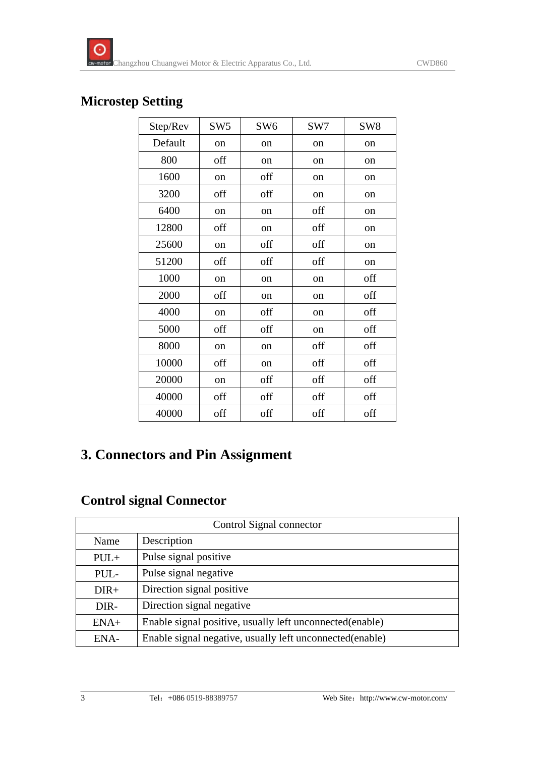#### **Microstep Setting**

| Step/Rev | SW <sub>5</sub> | SW <sub>6</sub> | SW7           | SW <sub>8</sub> |
|----------|-----------------|-----------------|---------------|-----------------|
| Default  | on              | on              | <sub>on</sub> | on              |
| 800      | off             | on              | on            | <sub>on</sub>   |
| 1600     | on              | off             | on            | on              |
| 3200     | off             | off             | on            | on              |
| 6400     | on              | on              | off           | on              |
| 12800    | off             | on              | off           | on              |
| 25600    | on              | off             | off           | <sub>on</sub>   |
| 51200    | off             | off             | off           | on              |
| 1000     | on              | on              | on            | off             |
| 2000     | off             | on              | on            | off             |
| 4000     | on              | off             | <sub>on</sub> | off             |
| 5000     | off             | off             | on            | off             |
| 8000     | on              | on              | off           | off             |
| 10000    | off             | on              | off           | off             |
| 20000    | on              | off             | off           | off             |
| 40000    | off             | off             | off           | off             |
| 40000    | off             | off             | off           | off             |

# **3. Connectors and Pin Assignment**

## **Control signal Connector**

| Control Signal connector |                                                          |  |
|--------------------------|----------------------------------------------------------|--|
| Name                     | Description                                              |  |
| $PUL+$                   | Pulse signal positive                                    |  |
| PUL-                     | Pulse signal negative                                    |  |
| $DIR+$                   | Direction signal positive                                |  |
| DIR-                     | Direction signal negative                                |  |
| $ENA+$                   | Enable signal positive, usually left unconnected(enable) |  |
| ENA-                     | Enable signal negative, usually left unconnected(enable) |  |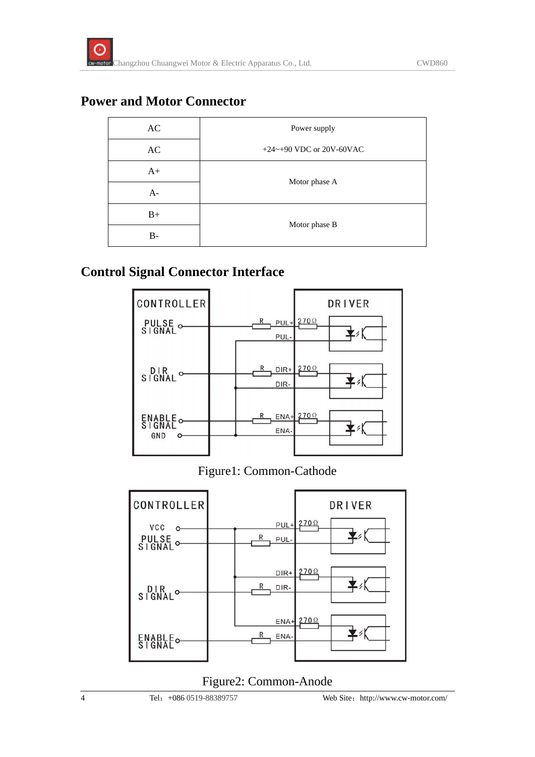#### **Power and Motor Connector**

| AC   | Power supply             |  |
|------|--------------------------|--|
| AC   | +24~+90 VDC or 20V-60VAC |  |
| $A+$ | Motor phase A            |  |
| $A-$ |                          |  |
| $B+$ |                          |  |
| B-   | Motor phase B            |  |

#### **Control Signal Connector Interface**



#### Figure1: Common-Cathode



#### Figure2: Common-Anode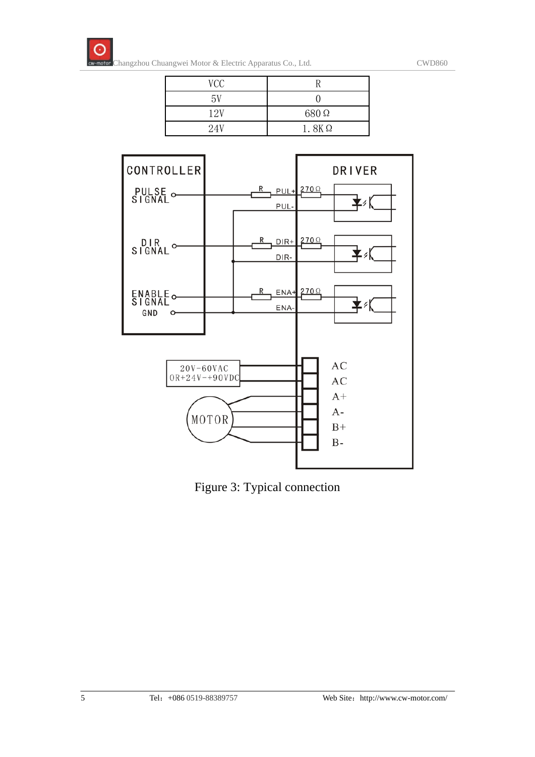

| VCC |              |
|-----|--------------|
| 5V  |              |
| 12V | 680Ω         |
| 24V | $1.8K\Omega$ |



Figure 3: Typical connection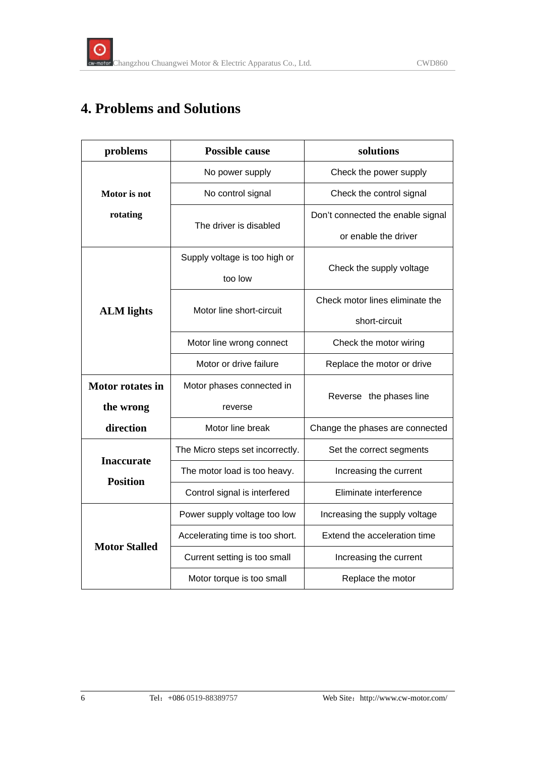# **4. Problems and Solutions**

| problems                             | <b>Possible cause</b>            | solutions                         |  |
|--------------------------------------|----------------------------------|-----------------------------------|--|
|                                      | No power supply                  | Check the power supply            |  |
| Motor is not                         | No control signal                | Check the control signal          |  |
| rotating                             | The driver is disabled           | Don't connected the enable signal |  |
|                                      |                                  | or enable the driver              |  |
|                                      | Supply voltage is too high or    |                                   |  |
|                                      | too low                          | Check the supply voltage          |  |
|                                      | Motor line short-circuit         | Check motor lines eliminate the   |  |
| <b>ALM</b> lights                    |                                  | short-circuit                     |  |
|                                      | Motor line wrong connect         | Check the motor wiring            |  |
|                                      | Motor or drive failure           | Replace the motor or drive        |  |
| <b>Motor rotates in</b>              | Motor phases connected in        |                                   |  |
| the wrong                            | reverse                          | Reverse the phases line           |  |
| direction                            | Motor line break                 | Change the phases are connected   |  |
|                                      | The Micro steps set incorrectly. | Set the correct segments          |  |
| <b>Inaccurate</b><br><b>Position</b> | The motor load is too heavy.     | Increasing the current            |  |
|                                      | Control signal is interfered     | Eliminate interference            |  |
| <b>Motor Stalled</b>                 | Power supply voltage too low     | Increasing the supply voltage     |  |
|                                      | Accelerating time is too short.  | Extend the acceleration time      |  |
|                                      | Current setting is too small     | Increasing the current            |  |
|                                      | Motor torque is too small        | Replace the motor                 |  |